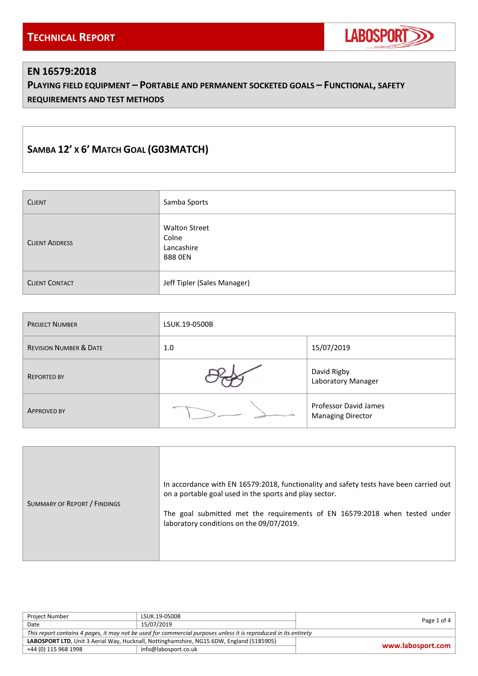

#### **EN 16579:2018**

**PLAYING FIELD EQUIPMENT – PORTABLE AND PERMANENT SOCKETED GOALS – FUNCTIONAL, SAFETY REQUIREMENTS AND TEST METHODS**

# **SAMBA 12' X 6' MATCH GOAL (G03MATCH)**

| <b>CLIENT</b>         | Samba Sports                                           |
|-----------------------|--------------------------------------------------------|
| <b>CLIENT ADDRESS</b> | <b>Walton Street</b><br>Colne<br>Lancashire<br>BB8 OEN |
| <b>CLIENT CONTACT</b> | Jeff Tipler (Sales Manager)                            |

| <b>PROJECT NUMBER</b>             | LSUK.19-0500B |                                                   |
|-----------------------------------|---------------|---------------------------------------------------|
| <b>REVISION NUMBER &amp; DATE</b> | 1.0           | 15/07/2019                                        |
| <b>REPORTED BY</b>                |               | David Rigby<br>Laboratory Manager                 |
| <b>APPROVED BY</b>                |               | Professor David James<br><b>Managing Director</b> |

| SUMMARY OF REPORT / FINDINGS | In accordance with EN 16579:2018, functionality and safety tests have been carried out<br>on a portable goal used in the sports and play sector.<br>The goal submitted met the requirements of EN 16579:2018 when tested under<br>laboratory conditions on the 09/07/2019. |
|------------------------------|----------------------------------------------------------------------------------------------------------------------------------------------------------------------------------------------------------------------------------------------------------------------------|
|------------------------------|----------------------------------------------------------------------------------------------------------------------------------------------------------------------------------------------------------------------------------------------------------------------------|

| Project Number                                                                                                   | LSUK.19-0500B        | Page 1 of 4       |
|------------------------------------------------------------------------------------------------------------------|----------------------|-------------------|
| Date                                                                                                             | 15/07/2019           |                   |
| This report contains 4 pages, it may not be used for commercial purposes unless it is reproduced in its entirety |                      |                   |
| LABOSPORT LTD, Unit 3 Aerial Way, Hucknall, Nottinghamshire, NG15 6DW, England (5185905)                         |                      |                   |
| +44 (0) 115 968 1998                                                                                             | info@labosport.co.uk | www.labosport.com |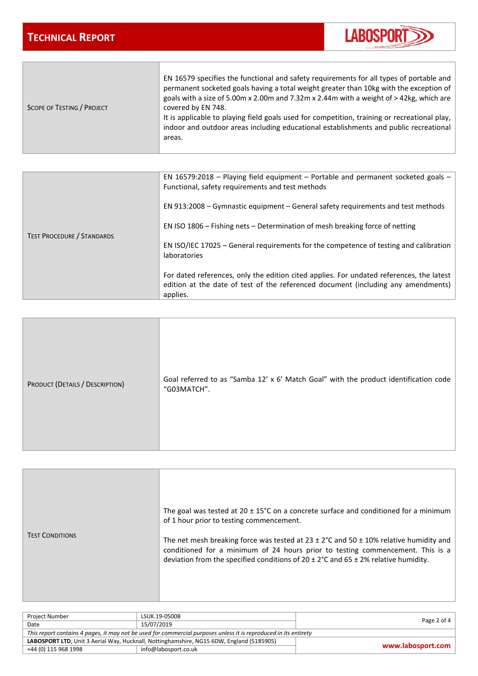$\overline{\phantom{0}}$ 

**The Community** 



| EN 16579 specifies the functional and safety requirements for all types of portable and<br>permanent socketed goals having a total weight greater than 10kg with the exception of<br>goals with a size of 5.00m x 2.00m and 7.32m x 2.44m with a weight of $>$ 42kg, which are<br>covered by EN 748.<br><b>SCOPE OF TESTING / PROJECT</b><br>It is applicable to playing field goals used for competition, training or recreational play,<br>indoor and outdoor areas including educational establishments and public recreational<br>areas. |
|----------------------------------------------------------------------------------------------------------------------------------------------------------------------------------------------------------------------------------------------------------------------------------------------------------------------------------------------------------------------------------------------------------------------------------------------------------------------------------------------------------------------------------------------|
|----------------------------------------------------------------------------------------------------------------------------------------------------------------------------------------------------------------------------------------------------------------------------------------------------------------------------------------------------------------------------------------------------------------------------------------------------------------------------------------------------------------------------------------------|

| <b>TEST PROCEDURE / STANDARDS</b> | EN 16579:2018 – Playing field equipment – Portable and permanent socketed goals –<br>Functional, safety requirements and test methods                                                     |
|-----------------------------------|-------------------------------------------------------------------------------------------------------------------------------------------------------------------------------------------|
|                                   | EN 913:2008 – Gymnastic equipment – General safety requirements and test methods                                                                                                          |
|                                   | EN ISO 1806 – Fishing nets – Determination of mesh breaking force of netting                                                                                                              |
|                                   | EN ISO/IEC 17025 – General requirements for the competence of testing and calibration<br><b>laboratories</b>                                                                              |
|                                   | For dated references, only the edition cited applies. For undated references, the latest<br>edition at the date of test of the referenced document (including any amendments)<br>applies. |

| PRODUCT (DETAILS / DESCRIPTION) | Goal referred to as "Samba 12' x 6' Match Goal" with the product identification code<br>"G03MATCH". |
|---------------------------------|-----------------------------------------------------------------------------------------------------|
|---------------------------------|-----------------------------------------------------------------------------------------------------|

| <b>TEST CONDITIONS</b> | The goal was tested at 20 $\pm$ 15°C on a concrete surface and conditioned for a minimum<br>of 1 hour prior to testing commencement.<br>The net mesh breaking force was tested at $23 \pm 2^{\circ}$ C and $50 \pm 10\%$ relative humidity and<br>conditioned for a minimum of 24 hours prior to testing commencement. This is a<br>deviation from the specified conditions of $20 \pm 2^{\circ}$ C and $65 \pm 2\%$ relative humidity. |
|------------------------|-----------------------------------------------------------------------------------------------------------------------------------------------------------------------------------------------------------------------------------------------------------------------------------------------------------------------------------------------------------------------------------------------------------------------------------------|
|------------------------|-----------------------------------------------------------------------------------------------------------------------------------------------------------------------------------------------------------------------------------------------------------------------------------------------------------------------------------------------------------------------------------------------------------------------------------------|

| <b>Project Number</b>                                                                                            | LSUK.19-0500B        | Page 2 of 4       |
|------------------------------------------------------------------------------------------------------------------|----------------------|-------------------|
| Date                                                                                                             | 15/07/2019           |                   |
| This report contains 4 pages, it may not be used for commercial purposes unless it is reproduced in its entirety |                      |                   |
| LABOSPORT LTD, Unit 3 Aerial Way, Hucknall, Nottinghamshire, NG15 6DW, England (5185905)                         |                      |                   |
| +44 (0) 115 968 1998                                                                                             | info@labosport.co.uk | www.labosport.com |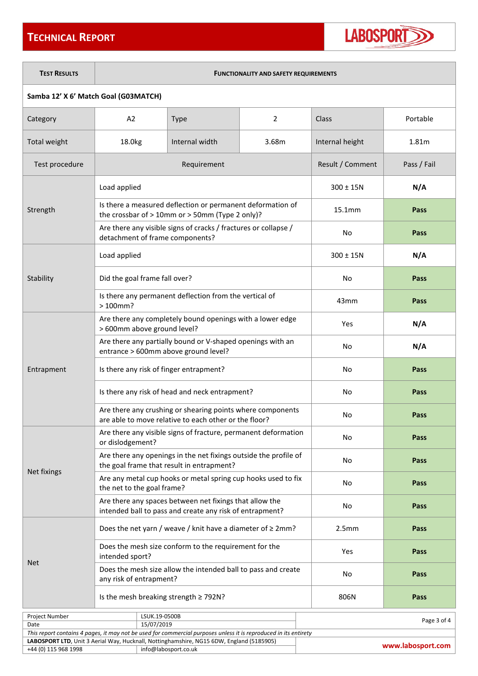## **TECHNICAL REPORT**



**TEST RESULTS FUNCTIONALITY AND SAFETY REQUIREMENTS**

#### **Samba 12' X 6' Match Goal (G03MATCH)**

| Category                                                                                                         | A2                                                                                                                  | <b>Type</b>                                                                                                      | 2     | Class              | Portable          |
|------------------------------------------------------------------------------------------------------------------|---------------------------------------------------------------------------------------------------------------------|------------------------------------------------------------------------------------------------------------------|-------|--------------------|-------------------|
| Total weight                                                                                                     | 18.0kg                                                                                                              | Internal width                                                                                                   | 3.68m | Internal height    | 1.81m             |
| Test procedure                                                                                                   |                                                                                                                     | Requirement                                                                                                      |       | Result / Comment   | Pass / Fail       |
|                                                                                                                  | Load applied                                                                                                        |                                                                                                                  |       | $300 \pm 15N$      | N/A               |
| Strength                                                                                                         |                                                                                                                     | Is there a measured deflection or permanent deformation of<br>the crossbar of > 10mm or > 50mm (Type 2 only)?    |       | 15.1 <sub>mm</sub> | Pass              |
|                                                                                                                  | detachment of frame components?                                                                                     | Are there any visible signs of cracks / fractures or collapse /                                                  |       | No                 | Pass              |
|                                                                                                                  | Load applied                                                                                                        |                                                                                                                  |       | $300 \pm 15N$      | N/A               |
| Stability                                                                                                        | Did the goal frame fall over?                                                                                       |                                                                                                                  |       | No                 | Pass              |
|                                                                                                                  | $>100$ mm?                                                                                                          | Is there any permanent deflection from the vertical of                                                           |       | 43 <sub>mm</sub>   | Pass              |
|                                                                                                                  | > 600mm above ground level?                                                                                         | Are there any completely bound openings with a lower edge                                                        |       | Yes                | N/A               |
|                                                                                                                  | Are there any partially bound or V-shaped openings with an<br>entrance > 600mm above ground level?                  |                                                                                                                  |       | No                 | N/A               |
| Entrapment                                                                                                       | Is there any risk of finger entrapment?                                                                             |                                                                                                                  |       | No                 | Pass              |
|                                                                                                                  | Is there any risk of head and neck entrapment?                                                                      |                                                                                                                  |       | No                 | Pass              |
|                                                                                                                  | Are there any crushing or shearing points where components<br>are able to move relative to each other or the floor? |                                                                                                                  |       | No                 | <b>Pass</b>       |
|                                                                                                                  | Are there any visible signs of fracture, permanent deformation<br>or dislodgement?                                  |                                                                                                                  | No    | Pass               |                   |
|                                                                                                                  | Are there any openings in the net fixings outside the profile of<br>the goal frame that result in entrapment?       |                                                                                                                  | No    | Pass               |                   |
| Net fixings                                                                                                      | the net to the goal frame?                                                                                          | Are any metal cup hooks or metal spring cup hooks used to fix                                                    |       | No                 | Pass              |
|                                                                                                                  | Are there any spaces between net fixings that allow the<br>intended ball to pass and create any risk of entrapment? |                                                                                                                  | No    | Pass               |                   |
|                                                                                                                  | Does the net yarn / weave / knit have a diameter of $\geq 2$ mm?                                                    |                                                                                                                  | 2.5mm | Pass               |                   |
|                                                                                                                  | Does the mesh size conform to the requirement for the<br>intended sport?                                            |                                                                                                                  | Yes   | Pass               |                   |
| <b>Net</b>                                                                                                       | Does the mesh size allow the intended ball to pass and create<br>any risk of entrapment?                            |                                                                                                                  | No    | <b>Pass</b>        |                   |
|                                                                                                                  | Is the mesh breaking strength $\geq$ 792N?                                                                          |                                                                                                                  | 806N  | Pass               |                   |
| Project Number                                                                                                   | LSUK.19-0500B                                                                                                       |                                                                                                                  |       |                    |                   |
| Date                                                                                                             | 15/07/2019                                                                                                          |                                                                                                                  |       |                    | Page 3 of 4       |
| This report contains 4 pages, it may not be used for commercial purposes unless it is reproduced in its entirety |                                                                                                                     |                                                                                                                  |       |                    |                   |
| +44 (0) 115 968 1998                                                                                             |                                                                                                                     | LABOSPORT LTD, Unit 3 Aerial Way, Hucknall, Nottinghamshire, NG15 6DW, England (5185905)<br>info@labosport.co.uk |       |                    | www.labosport.com |
|                                                                                                                  |                                                                                                                     |                                                                                                                  |       |                    |                   |